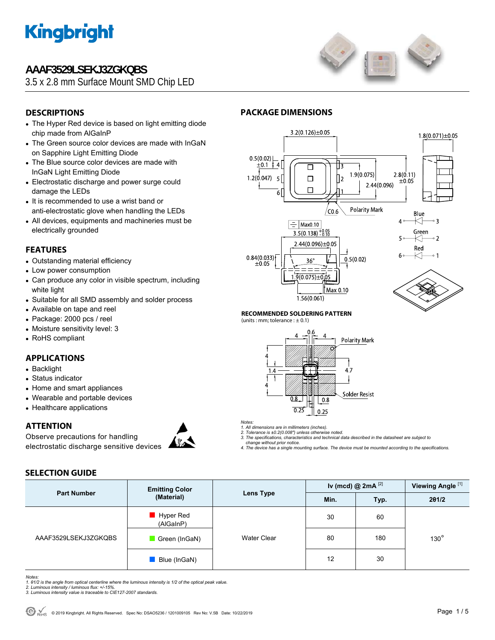

### **AAAF3529LSEKJ3ZGKQBS**

3.5 x 2.8 mm Surface Mount SMD Chip LED



### **DESCRIPTIONS**

- The Hyper Red device is based on light emitting diode chip made from AlGaInP
- The Green source color devices are made with InGaN on Sapphire Light Emitting Diode
- The Blue source color devices are made with InGaN Light Emitting Diode
- Electrostatic discharge and power surge could damage the LEDs
- It is recommended to use a wrist band or anti-electrostatic glove when handling the LEDs
- All devices, equipments and machineries must be electrically grounded

#### **FEATURES**

- Outstanding material efficiency
- Low power consumption
- Can produce any color in visible spectrum, including white light
- Suitable for all SMD assembly and solder process
- Available on tape and reel
- Package: 2000 pcs / reel
- Moisture sensitivity level: 3
- RoHS compliant

#### **APPLICATIONS**

- Backlight
- Status indicator
- Home and smart appliances
- Wearable and portable devices
- Healthcare applications

**SELECTION GUIDE** 

#### **ATTENTION**

Observe precautions for handling electrostatic discharge sensitive devices



### **PACKAGE DIMENSIONS**



#### **RECOMMENDED SOLDERING PATTERN**

(units : mm; tolerance :  $\pm$  0.1)



*Notes:* 

*1. All dimensions are in millimeters (inches). 2. Tolerance is ±0.2(0.008") unless otherwise noted.* 

- *3. The specifications, characteristics and technical data described in the datasheet are subject to change without prior notice.*
- *4. The device has a single mounting surface. The device must be mounted according to the specifications.*

| <b>Part Number</b>   | <b>Emitting Color</b><br>(Material) | <b>Lens Type</b>   | Iv (mcd) $@$ 2mA $^{[2]}$ |      | Viewing Angle <sup>[1]</sup> |  |
|----------------------|-------------------------------------|--------------------|---------------------------|------|------------------------------|--|
|                      |                                     |                    | Min.                      | Typ. | 201/2                        |  |
| AAAF3529LSEKJ3ZGKQBS | Hyper Red<br>(AlGaInP)              |                    | 30                        | 60   |                              |  |
|                      | Green (InGaN)                       | <b>Water Clear</b> | 80                        | 180  | $130^\circ$                  |  |
|                      | Blue (InGaN)                        |                    | 12                        | 30   |                              |  |

*Notes:* 

*1. θ1/2 is the angle from optical centerline where the luminous intensity is 1/2 of the optical peak value. 2. Luminous intensity / luminous flux: +/-15%.* 

*3. Luminous intensity value is traceable to CIE127-2007 standards.*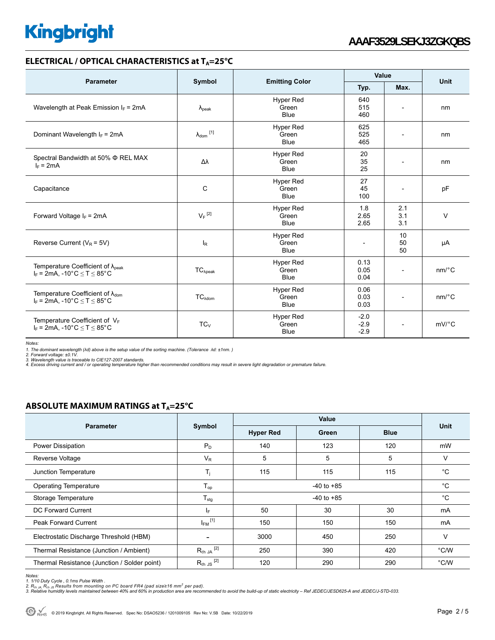#### **ELECTRICAL / OPTICAL CHARACTERISTICS at T<sub>A</sub>=25°C**

|                                                                                              |                            |                                          | Value                        |                          |                       |  |
|----------------------------------------------------------------------------------------------|----------------------------|------------------------------------------|------------------------------|--------------------------|-----------------------|--|
| <b>Parameter</b>                                                                             | Symbol                     | <b>Emitting Color</b>                    | Typ.                         | Max.                     | Unit                  |  |
| Wavelength at Peak Emission $I_F$ = 2mA                                                      | $\lambda_{\rm peak}$       | Hyper Red<br>Green<br><b>Blue</b>        | 640<br>515<br>460            |                          | nm                    |  |
| Dominant Wavelength $I_F$ = 2mA                                                              | $\lambda_{\text{dom}}$ [1] | <b>Hyper Red</b><br>Green<br><b>Blue</b> | 625<br>525<br>465            |                          | nm                    |  |
| Spectral Bandwidth at 50% $\Phi$ REL MAX<br>$I_F = 2mA$                                      | Δλ                         | <b>Hyper Red</b><br>Green<br><b>Blue</b> | 20<br>35<br>25               | $\overline{a}$           | nm                    |  |
| <b>Hyper Red</b><br>$\mathsf{C}$<br>Capacitance<br>Green<br>Blue                             |                            |                                          | 27<br>45<br>100              | $\overline{\phantom{a}}$ | pF                    |  |
| Forward Voltage $I_F$ = 2mA                                                                  | $V_F$ <sup>[2]</sup>       | <b>Hyper Red</b><br>Green<br><b>Blue</b> | 1.8<br>2.65<br>2.65          | 2.1<br>3.1<br>3.1        | $\vee$                |  |
| Reverse Current ( $V_R$ = 5V)                                                                | $I_R$                      | <b>Hyper Red</b><br>Green<br><b>Blue</b> | $\qquad \qquad \blacksquare$ | 10<br>50<br>50           | μA                    |  |
| Temperature Coefficient of $\lambda_{peak}$<br>$I_F$ = 2mA, -10°C $\leq T \leq 85$ °C        | $TC_{\lambda peak}$        | <b>Hyper Red</b><br>Green<br><b>Blue</b> | 0.13<br>0.05<br>0.04         | $\overline{\phantom{0}}$ | $nm$ <sup>o</sup> $C$ |  |
| Temperature Coefficient of $\lambda_{\text{dom}}$<br>$I_F$ = 2mA, -10°C $\leq$ T $\leq$ 85°C | $TC_{\lambda dom}$         | Hyper Red<br>Green<br><b>Blue</b>        | 0.06<br>0.03<br>0.03         | $\overline{\phantom{a}}$ | $nm$ <sup>o</sup> $C$ |  |
| Temperature Coefficient of $V_F$<br>$I_F$ = 2mA, -10°C $\leq$ T $\leq$ 85°C                  | $TC_{V}$                   | <b>Hyper Red</b><br>Green<br><b>Blue</b> | $-2.0$<br>$-2.9$<br>$-2.9$   |                          | $mV$ <sup>°</sup> C   |  |

*Notes:* 

1. The dominant wavelength (λd) above is the setup value of the sorting machine. (Tolerance λd: ±1nm. )<br>2. Forward voltage: ±0.1V.<br>4. Excess driving current and / or operating temperature higher than recommended condition

#### **ABSOLUTE MAXIMUM RATINGS at T<sub>A</sub>=25°C**

|                                              | Symbol                  | Value            |             |             |               |
|----------------------------------------------|-------------------------|------------------|-------------|-------------|---------------|
| <b>Parameter</b>                             |                         | <b>Hyper Red</b> | Green       | <b>Blue</b> | Unit          |
| Power Dissipation                            | $P_D$                   | 140              | 123         | 120         | mW            |
| Reverse Voltage                              | $V_{R}$                 | 5                | 5           | 5           | V             |
| Junction Temperature                         | T <sub>i</sub>          | 115              | 115         | 115         | $^{\circ}$ C  |
| <b>Operating Temperature</b>                 | $T_{op}$                |                  | $^{\circ}C$ |             |               |
| Storage Temperature                          | ${\sf T}_{\sf stg}$     | $-40$ to $+85$   |             |             | $^{\circ}C$   |
| DC Forward Current                           | IF.                     | 50               | 30          | 30          | mA            |
| <b>Peak Forward Current</b>                  | $I_{FM}$ <sup>[1]</sup> | 150              | 150         | 150         | mA            |
| Electrostatic Discharge Threshold (HBM)      |                         | 3000             | 450         | 250         | $\vee$        |
| Thermal Resistance (Junction / Ambient)      | $R_{th}$ JA $^{[2]}$    | 250              | 390         | 420         | $\degree$ C/W |
| Thermal Resistance (Junction / Solder point) | $R_{th}$ JS $^{[2]}$    | 120              | 290         | 290         | °C/W          |

*Notes:* 

1. 1/10 Duty Cycle , 0.1ms Pulse Width .<br>2. R<sub>th JA</sub>, R<sub>th JS</sub> Results from mounting on PC board FR4 (pad size≥16 mm<sup>2</sup> per pad).<br>3. Relative humidity levels maintained between 40% and 60% in production area are recommend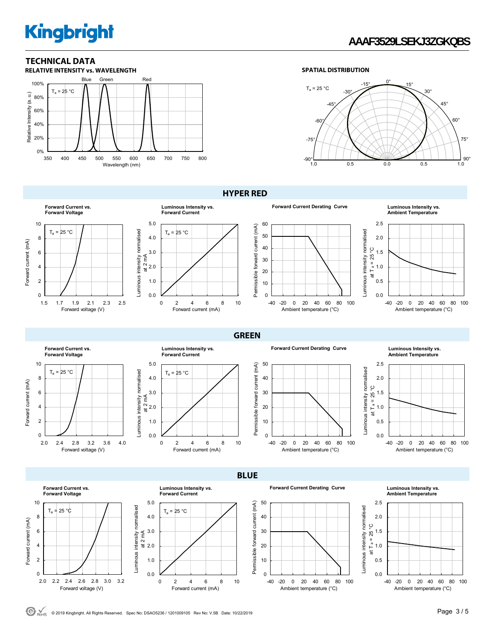### **TECHNICAL DATA**



#### **SPATIAL DISTRIBUTION**



**HYPER RED** 

**GREEN** 





**Forward Current Derating Curve Luminous Intensity vs.** 



**Ambient Temperature**



**Forward Current vs. Forward Voltage** 10  $T_a = 25 °C$ 8 Forward current (mA) Forward current (mA) 6 4  $\mathfrak{p}$ 0 2.0 2.4 2.8 3.2 3.6 4.0 Forward voltage (V)

Forward current (mA)

Forward current (mA)





**Forward Current Derating Curve Luminous Intensity vs.** 



**Ambient Temperature**





Luminous intensity normalised

**BLUE Forward Current Derating Curve Luminous Intensity vs. Forward Current vs. Luminous Intensity vs. Forward Voltage Forward Current** 2.5 10 5.0 50 Permissible forward current (mA) Permissible forward current (mA) Luminous intensity normalised Luminous intensity normalised  $T_a = 25 °C$ Luminous intensity normalised Luminous intensity normalised  $T_a = 25 °C$ 8 4.0 40 2.0 ပ္ခ at T a =  $25^{\circ}$ C 6 3.0 30 at 2 mA 1.5 4 2.0 20 1.0 0.5 2 1.0 10  $\overline{0}$ 0.0 0 0.0 2.0 22 24 26 28 3.0 3.2 -40 -20 0 20 40 60 80 100 0 2 4 6 8 10 Forward voltage (V) Forward current (mA) Ambient temperature (°C)





 $\bigodot$ <sub>RoHS</sub> © 2019 Kingbright. All Rights Reserved. Spec No: DSAO5236 / 1201009105 Rev No: V.5B Date: 10/22/2019

Luminous intensity normalised at 2 mA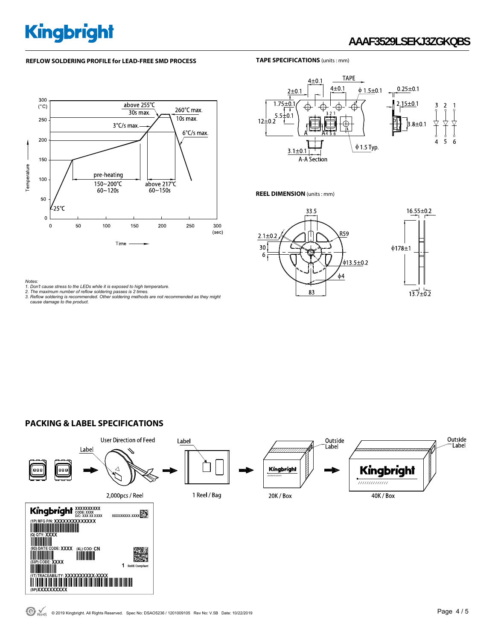## **AAAF3529LSEKJ3ZGKQBS**

#### **REFLOW SOLDERING PROFILE for LEAD-FREE SMD PROCESS**

#### **TAPE SPECIFICATIONS** (units : mm)





#### **REEL DIMENSION** (units : mm)





#### **PACKING & LABEL SPECIFICATIONS**



Notes:<br>1. Don't cause stress to the LEDs while it is exposed to high temperature.<br>2. The maximum number of reflow soldering passes is 2 times.<br>3. Reflow soldering is recommended. Other soldering methods are not recommended